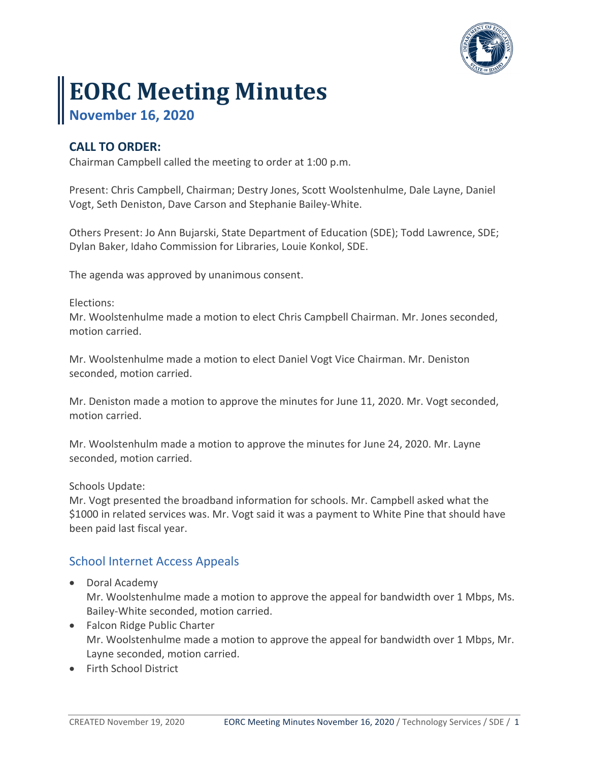

# **EORC Meeting Minutes**

**November 16, 2020**

## **CALL TO ORDER:**

Chairman Campbell called the meeting to order at 1:00 p.m.

Present: Chris Campbell, Chairman; Destry Jones, Scott Woolstenhulme, Dale Layne, Daniel Vogt, Seth Deniston, Dave Carson and Stephanie Bailey-White.

Others Present: Jo Ann Bujarski, State Department of Education (SDE); Todd Lawrence, SDE; Dylan Baker, Idaho Commission for Libraries, Louie Konkol, SDE.

The agenda was approved by unanimous consent.

Elections:

Mr. Woolstenhulme made a motion to elect Chris Campbell Chairman. Mr. Jones seconded, motion carried.

Mr. Woolstenhulme made a motion to elect Daniel Vogt Vice Chairman. Mr. Deniston seconded, motion carried.

Mr. Deniston made a motion to approve the minutes for June 11, 2020. Mr. Vogt seconded, motion carried.

Mr. Woolstenhulm made a motion to approve the minutes for June 24, 2020. Mr. Layne seconded, motion carried.

Schools Update:

Mr. Vogt presented the broadband information for schools. Mr. Campbell asked what the \$1000 in related services was. Mr. Vogt said it was a payment to White Pine that should have been paid last fiscal year.

### School Internet Access Appeals

- Doral Academy Mr. Woolstenhulme made a motion to approve the appeal for bandwidth over 1 Mbps, Ms. Bailey-White seconded, motion carried.
- Falcon Ridge Public Charter Mr. Woolstenhulme made a motion to approve the appeal for bandwidth over 1 Mbps, Mr. Layne seconded, motion carried.
- Firth School District